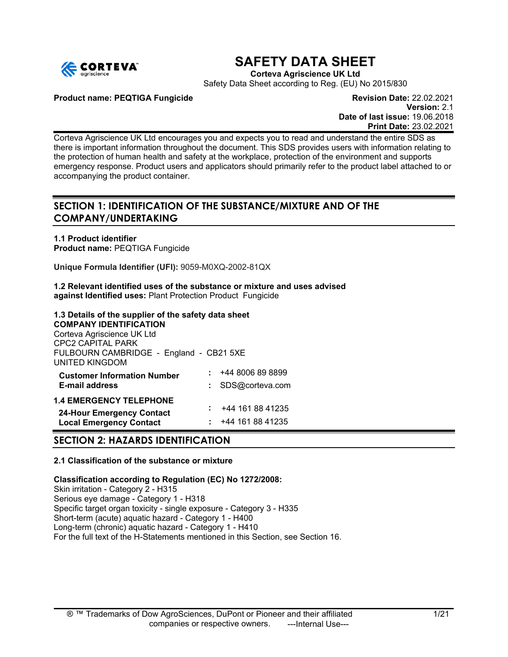

# **SAFETY DATA SHEET**

**Corteva Agriscience UK Ltd**

Safety Data Sheet according to Reg. (EU) No 2015/830

**Product name: PEQTIGA Fungicide Revision Date:** 22.02.2021

**Version:** 2.1 **Date of last issue:** 19.06.2018 **Print Date:** 23.02.2021

Corteva Agriscience UK Ltd encourages you and expects you to read and understand the entire SDS as there is important information throughout the document. This SDS provides users with information relating to the protection of human health and safety at the workplace, protection of the environment and supports emergency response. Product users and applicators should primarily refer to the product label attached to or accompanying the product container.

# **SECTION 1: IDENTIFICATION OF THE SUBSTANCE/MIXTURE AND OF THE COMPANY/UNDERTAKING**

**1.1 Product identifier Product name:** PEQTIGA Fungicide

**Unique Formula Identifier (UFI):** 9059-M0XQ-2002-81QX

**1.2 Relevant identified uses of the substance or mixture and uses advised against Identified uses:** Plant Protection Product Fungicide

# **1.3 Details of the supplier of the safety data sheet**

**COMPANY IDENTIFICATION** Corteva Agriscience UK Ltd CPC2 CAPITAL PARK FULBOURN CAMBRIDGE - England - CB21 5XE UNITED KINGDOM **Customer Information Number**  $\qquad$   $\qquad$   $\qquad$   $\qquad$   $\qquad$   $\qquad$   $\qquad$   $\qquad$   $\qquad$   $\qquad$   $\qquad$   $\qquad$   $\qquad$   $\qquad$   $\qquad$   $\qquad$   $\qquad$   $\qquad$   $\qquad$   $\qquad$   $\qquad$   $\qquad$   $\qquad$   $\qquad$   $\qquad$   $\qquad$   $\qquad$   $\qquad$   $\qquad$   $\qquad$   $\qquad$   $\qquad$  **E-mail address :** SDS@corteva.com **1.4 EMERGENCY TELEPHONE**

**24-Hour Emergency Contact :** +44 161 88 41235 **Local Emergency Contact** 

# **SECTION 2: HAZARDS IDENTIFICATION**

# **2.1 Classification of the substance or mixture**

**Classification according to Regulation (EC) No 1272/2008:** Skin irritation - Category 2 - H315 Serious eye damage - Category 1 - H318 Specific target organ toxicity - single exposure - Category 3 - H335 Short-term (acute) aquatic hazard - Category 1 - H400 Long-term (chronic) aquatic hazard - Category 1 - H410 For the full text of the H-Statements mentioned in this Section, see Section 16.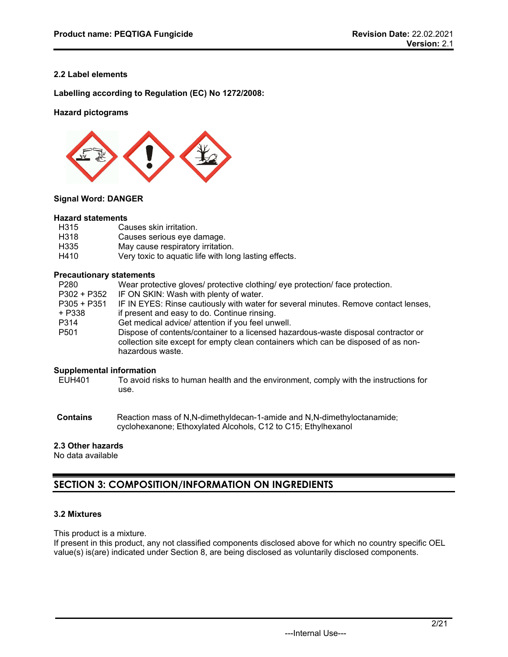# **2.2 Label elements**

**Labelling according to Regulation (EC) No 1272/2008:**

# **Hazard pictograms**



# **Signal Word: DANGER**

#### **Hazard statements**

| H315 | Causes skin irritation.                               |
|------|-------------------------------------------------------|
| H318 | Causes serious eye damage.                            |
| H335 | May cause respiratory irritation.                     |
| H410 | Very toxic to aquatic life with long lasting effects. |

#### **Precautionary statements**

| P280             | Wear protective gloves/ protective clothing/ eye protection/ face protection.                                                                                                                |
|------------------|----------------------------------------------------------------------------------------------------------------------------------------------------------------------------------------------|
| P302 + P352      | IF ON SKIN: Wash with plenty of water.                                                                                                                                                       |
| $P305 + P351$    | IF IN EYES: Rinse cautiously with water for several minutes. Remove contact lenses,                                                                                                          |
| + P338           | if present and easy to do. Continue rinsing.                                                                                                                                                 |
| P314             | Get medical advice/ attention if you feel unwell.                                                                                                                                            |
| P <sub>501</sub> | Dispose of contents/container to a licensed hazardous-waste disposal contractor or<br>collection site except for empty clean containers which can be disposed of as non-<br>hazardous waste. |

# **Supplemental information**<br>**EUH401** To avoid ris

- To avoid risks to human health and the environment, comply with the instructions for use.
- **Contains** Reaction mass of N,N-dimethyldecan-1-amide and N,N-dimethyloctanamide; cyclohexanone; Ethoxylated Alcohols, C12 to C15; Ethylhexanol

# **2.3 Other hazards**

No data available

# **SECTION 3: COMPOSITION/INFORMATION ON INGREDIENTS**

# **3.2 Mixtures**

This product is a mixture.

If present in this product, any not classified components disclosed above for which no country specific OEL value(s) is(are) indicated under Section 8, are being disclosed as voluntarily disclosed components.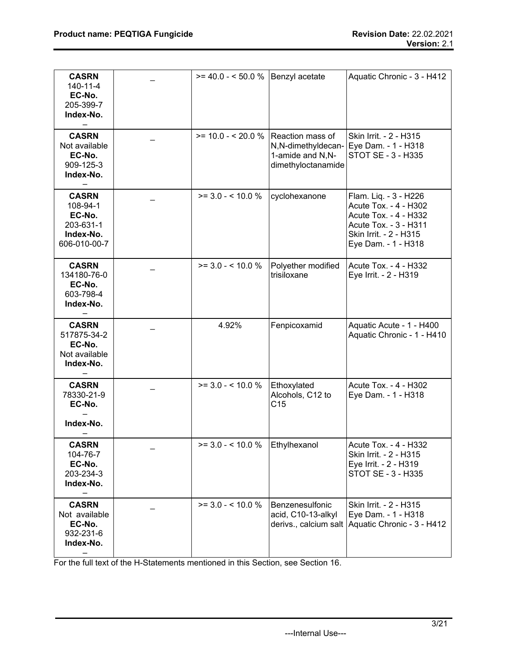| <b>CASRN</b><br>140-11-4<br>EC-No.<br>205-399-7<br>Index-No.                 | $>= 40.0 - 50.0 %$                  | Benzyl acetate                                               | Aquatic Chronic - 3 - H412                                                                                                                        |
|------------------------------------------------------------------------------|-------------------------------------|--------------------------------------------------------------|---------------------------------------------------------------------------------------------------------------------------------------------------|
| <b>CASRN</b><br>Not available<br>EC-No.<br>909-125-3<br>Index-No.            | $>= 10.0 - 20.0 %$ Reaction mass of | N,N-dimethyldecan-<br>1-amide and N,N-<br>dimethyloctanamide | Skin Irrit. - 2 - H315<br>Eye Dam. - 1 - H318<br>STOT SE - 3 - H335                                                                               |
| <b>CASRN</b><br>108-94-1<br>EC-No.<br>203-631-1<br>Index-No.<br>606-010-00-7 | $>= 3.0 - 5.10.0 %$                 | cyclohexanone                                                | Flam. Liq. - 3 - H226<br>Acute Tox. - 4 - H302<br>Acute Tox. - 4 - H332<br>Acute Tox. - 3 - H311<br>Skin Irrit. - 2 - H315<br>Eye Dam. - 1 - H318 |
| <b>CASRN</b><br>134180-76-0<br>EC-No.<br>603-798-4<br>Index-No.              | $>= 3.0 - 5.10.0 %$                 | Polyether modified<br>trisiloxane                            | Acute Tox. - 4 - H332<br>Eye Irrit. - 2 - H319                                                                                                    |
| <b>CASRN</b><br>517875-34-2<br>EC-No.<br>Not available<br>Index-No.          | 4.92%                               | Fenpicoxamid                                                 | Aquatic Acute - 1 - H400<br>Aquatic Chronic - 1 - H410                                                                                            |
| <b>CASRN</b><br>78330-21-9<br>EC-No.<br>Index-No.                            | $>= 3.0 - 5.10.0 %$                 | Ethoxylated<br>Alcohols, C12 to<br>C <sub>15</sub>           | Acute Tox. - 4 - H302<br>Eye Dam. - 1 - H318                                                                                                      |
| <b>CASRN</b><br>104-76-7<br>EC-No.<br>203-234-3<br>Index-No.                 | $>= 3.0 - 5.10.0 %$                 | Ethylhexanol                                                 | Acute Tox. - 4 - H332<br>Skin Irrit. - 2 - H315<br>Eye Irrit. - 2 - H319<br>STOT SE - 3 - H335                                                    |
| <b>CASRN</b><br>Not available<br>EC-No.<br>932-231-6<br>Index-No.            | $>= 3.0 - 5.10.0 %$                 | Benzenesulfonic<br>acid, C10-13-alkyl                        | Skin Irrit. - 2 - H315<br>Eye Dam. - 1 - H318<br>derivs., calcium salt Aquatic Chronic - 3 - H412                                                 |

For the full text of the H-Statements mentioned in this Section, see Section 16.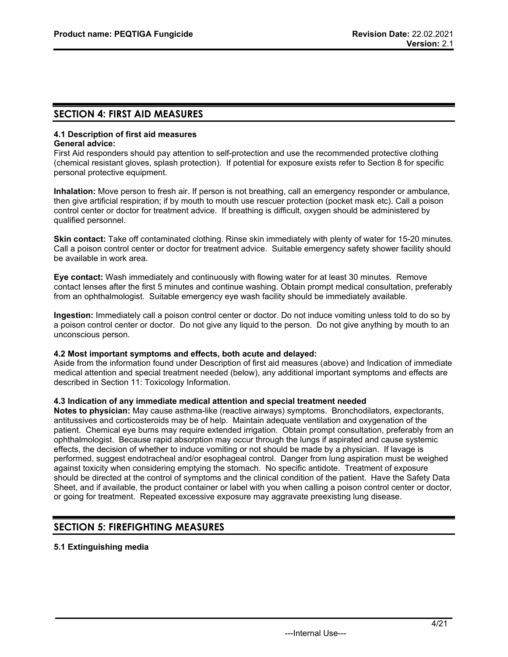# **SECTION 4: FIRST AID MEASURES**

#### **4.1 Description of first aid measures General advice:**

First Aid responders should pay attention to self-protection and use the recommended protective clothing (chemical resistant gloves, splash protection). If potential for exposure exists refer to Section 8 for specific personal protective equipment.

**Inhalation:** Move person to fresh air. If person is not breathing, call an emergency responder or ambulance, then give artificial respiration; if by mouth to mouth use rescuer protection (pocket mask etc). Call a poison control center or doctor for treatment advice. If breathing is difficult, oxygen should be administered by qualified personnel.

**Skin contact:** Take off contaminated clothing. Rinse skin immediately with plenty of water for 15-20 minutes. Call a poison control center or doctor for treatment advice. Suitable emergency safety shower facility should be available in work area.

**Eye contact:** Wash immediately and continuously with flowing water for at least 30 minutes. Remove contact lenses after the first 5 minutes and continue washing. Obtain prompt medical consultation, preferably from an ophthalmologist. Suitable emergency eye wash facility should be immediately available.

**Ingestion:** Immediately call a poison control center or doctor. Do not induce vomiting unless told to do so by a poison control center or doctor. Do not give any liquid to the person. Do not give anything by mouth to an unconscious person.

# **4.2 Most important symptoms and effects, both acute and delayed:**

Aside from the information found under Description of first aid measures (above) and Indication of immediate medical attention and special treatment needed (below), any additional important symptoms and effects are described in Section 11: Toxicology Information.

# **4.3 Indication of any immediate medical attention and special treatment needed**

**Notes to physician:** May cause asthma-like (reactive airways) symptoms. Bronchodilators, expectorants, antitussives and corticosteroids may be of help. Maintain adequate ventilation and oxygenation of the patient. Chemical eye burns may require extended irrigation. Obtain prompt consultation, preferably from an ophthalmologist. Because rapid absorption may occur through the lungs if aspirated and cause systemic effects, the decision of whether to induce vomiting or not should be made by a physician. If lavage is performed, suggest endotracheal and/or esophageal control. Danger from lung aspiration must be weighed against toxicity when considering emptying the stomach. No specific antidote. Treatment of exposure should be directed at the control of symptoms and the clinical condition of the patient. Have the Safety Data Sheet, and if available, the product container or label with you when calling a poison control center or doctor, or going for treatment. Repeated excessive exposure may aggravate preexisting lung disease.

# **SECTION 5: FIREFIGHTING MEASURES**

# **5.1 Extinguishing media**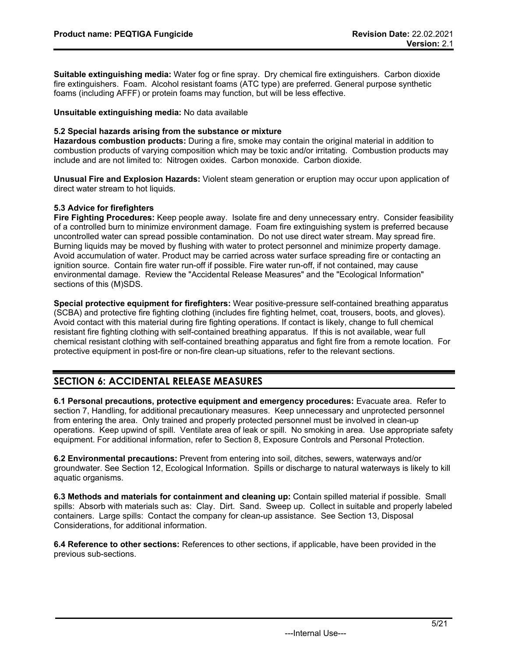**Suitable extinguishing media:** Water fog or fine spray. Dry chemical fire extinguishers. Carbon dioxide fire extinguishers. Foam. Alcohol resistant foams (ATC type) are preferred. General purpose synthetic foams (including AFFF) or protein foams may function, but will be less effective.

**Unsuitable extinguishing media:** No data available

# **5.2 Special hazards arising from the substance or mixture**

**Hazardous combustion products:** During a fire, smoke may contain the original material in addition to combustion products of varying composition which may be toxic and/or irritating. Combustion products may include and are not limited to: Nitrogen oxides. Carbon monoxide. Carbon dioxide.

**Unusual Fire and Explosion Hazards:** Violent steam generation or eruption may occur upon application of direct water stream to hot liquids.

# **5.3 Advice for firefighters**

**Fire Fighting Procedures:** Keep people away. Isolate fire and deny unnecessary entry. Consider feasibility of a controlled burn to minimize environment damage. Foam fire extinguishing system is preferred because uncontrolled water can spread possible contamination. Do not use direct water stream. May spread fire. Burning liquids may be moved by flushing with water to protect personnel and minimize property damage. Avoid accumulation of water. Product may be carried across water surface spreading fire or contacting an ignition source. Contain fire water run-off if possible. Fire water run-off, if not contained, may cause environmental damage. Review the "Accidental Release Measures" and the "Ecological Information" sections of this (M)SDS.

**Special protective equipment for firefighters:** Wear positive-pressure self-contained breathing apparatus (SCBA) and protective fire fighting clothing (includes fire fighting helmet, coat, trousers, boots, and gloves). Avoid contact with this material during fire fighting operations. If contact is likely, change to full chemical resistant fire fighting clothing with self-contained breathing apparatus. If this is not available, wear full chemical resistant clothing with self-contained breathing apparatus and fight fire from a remote location. For protective equipment in post-fire or non-fire clean-up situations, refer to the relevant sections.

# **SECTION 6: ACCIDENTAL RELEASE MEASURES**

**6.1 Personal precautions, protective equipment and emergency procedures:** Evacuate area. Refer to section 7, Handling, for additional precautionary measures. Keep unnecessary and unprotected personnel from entering the area. Only trained and properly protected personnel must be involved in clean-up operations. Keep upwind of spill. Ventilate area of leak or spill. No smoking in area. Use appropriate safety equipment. For additional information, refer to Section 8, Exposure Controls and Personal Protection.

**6.2 Environmental precautions:** Prevent from entering into soil, ditches, sewers, waterways and/or groundwater. See Section 12, Ecological Information. Spills or discharge to natural waterways is likely to kill aquatic organisms.

**6.3 Methods and materials for containment and cleaning up:** Contain spilled material if possible. Small spills: Absorb with materials such as: Clay. Dirt. Sand. Sweep up. Collect in suitable and properly labeled containers. Large spills: Contact the company for clean-up assistance. See Section 13, Disposal Considerations, for additional information.

**6.4 Reference to other sections:** References to other sections, if applicable, have been provided in the previous sub-sections.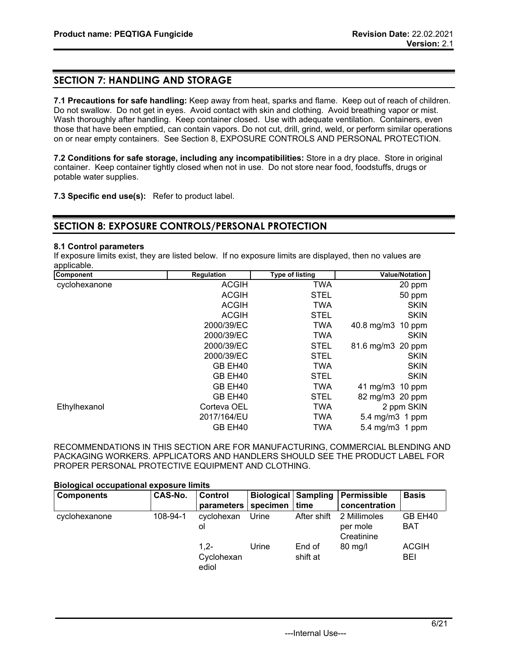# **SECTION 7: HANDLING AND STORAGE**

**7.1 Precautions for safe handling:** Keep away from heat, sparks and flame. Keep out of reach of children. Do not swallow. Do not get in eyes. Avoid contact with skin and clothing. Avoid breathing vapor or mist. Wash thoroughly after handling. Keep container closed. Use with adequate ventilation. Containers, even those that have been emptied, can contain vapors. Do not cut, drill, grind, weld, or perform similar operations on or near empty containers. See Section 8, EXPOSURE CONTROLS AND PERSONAL PROTECTION.

**7.2 Conditions for safe storage, including any incompatibilities:** Store in a dry place. Store in original container. Keep container tightly closed when not in use. Do not store near food, foodstuffs, drugs or potable water supplies.

**7.3 Specific end use(s):** Refer to product label.

# **SECTION 8: EXPOSURE CONTROLS/PERSONAL PROTECTION**

# **8.1 Control parameters**

If exposure limits exist, they are listed below. If no exposure limits are displayed, then no values are applicable.

| Component     | <b>Regulation</b> | <b>Type of listing</b> | <b>Value/Notation</b>     |
|---------------|-------------------|------------------------|---------------------------|
| cyclohexanone | <b>ACGIH</b>      | <b>TWA</b>             | 20 ppm                    |
|               | <b>ACGIH</b>      | <b>STEL</b>            | 50 ppm                    |
|               | <b>ACGIH</b>      | <b>TWA</b>             | <b>SKIN</b>               |
|               | <b>ACGIH</b>      | <b>STEL</b>            | <b>SKIN</b>               |
|               | 2000/39/EC        | <b>TWA</b>             | $40.8$ mg/m $3$<br>10 ppm |
|               | 2000/39/EC        | <b>TWA</b>             | <b>SKIN</b>               |
|               | 2000/39/EC        | <b>STEL</b>            | 81.6 mg/m3 20 ppm         |
|               | 2000/39/EC        | <b>STEL</b>            | <b>SKIN</b>               |
|               | GB EH40           | <b>TWA</b>             | <b>SKIN</b>               |
|               | GB EH40           | <b>STEL</b>            | <b>SKIN</b>               |
|               | GB EH40           | <b>TWA</b>             | 41 mg/m3 10 ppm           |
|               | GB EH40           | <b>STEL</b>            | 82 mg/m3 20 ppm           |
| Ethylhexanol  | Corteva OEL       | <b>TWA</b>             | 2 ppm SKIN                |
|               | 2017/164/EU       | <b>TWA</b>             | 5.4 mg/m3 1 ppm           |
|               | GB EH40           | TWA                    | 5.4 mg/m3 1 ppm           |

RECOMMENDATIONS IN THIS SECTION ARE FOR MANUFACTURING, COMMERCIAL BLENDING AND PACKAGING WORKERS. APPLICATORS AND HANDLERS SHOULD SEE THE PRODUCT LABEL FOR PROPER PERSONAL PROTECTIVE EQUIPMENT AND CLOTHING.

#### **Biological occupational exposure limits**

| <b>Components</b> | CAS-No.  | <b>Control</b><br>parameters   | specimen | Biological Sampling<br>time | Permissible<br>concentration           | <b>Basis</b>          |
|-------------------|----------|--------------------------------|----------|-----------------------------|----------------------------------------|-----------------------|
| cyclohexanone     | 108-94-1 | cyclohexan<br>ol               | Urine    | After shift                 | 2 Millimoles<br>per mole<br>Creatinine | GB EH40<br><b>BAT</b> |
|                   |          | $1.2 -$<br>Cyclohexan<br>ediol | Urine    | End of<br>shift at          | $80 \text{ mg/l}$                      | <b>ACGIH</b><br>BEI   |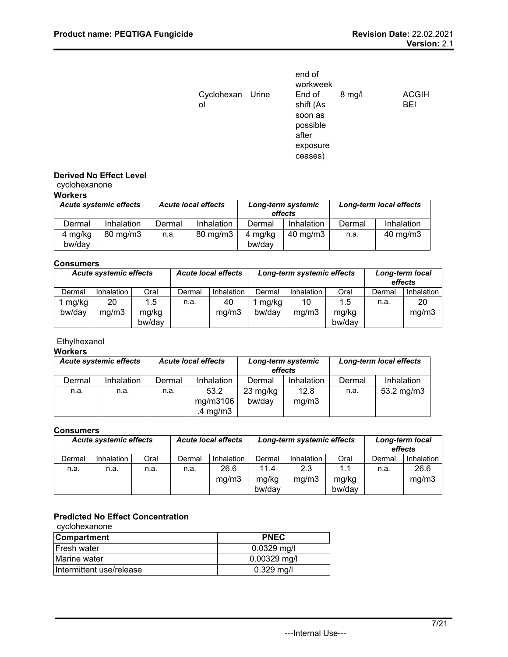|                        | end of<br>workweek                                              |          |                            |
|------------------------|-----------------------------------------------------------------|----------|----------------------------|
| Cyclohexan Urine<br>ol | End of<br>shift (As<br>soon as<br>possible<br>after<br>exposure | $8$ mg/l | <b>ACGIH</b><br><b>BEI</b> |
|                        | ceases)                                                         |          |                            |

# **Derived No Effect Level**

# cyclohexanone

| Workers |  |
|---------|--|
|---------|--|

| <b>Acute systemic effects</b> |                     | <b>Acute local effects</b> |            | Long-term systemic<br>effects |                   | <b>Long-term local effects</b> |            |
|-------------------------------|---------------------|----------------------------|------------|-------------------------------|-------------------|--------------------------------|------------|
| Dermal                        | Inhalation          | Dermal                     | Inhalation | Dermal                        | Inhalation        | Dermal                         | Inhalation |
| 4 mg/kg<br>bw/day             | $80 \text{ mg/m}$ 3 | n.a.                       | 80 mg/m3   | 4 mg/kg<br>bw/dav             | $40 \text{ mg/m}$ | n.a.                           | 40 mg/m3   |

# **Consumers**

| <b>Acute local effects</b><br><b>Acute systemic effects</b> |            |        | Long-term systemic effects |            |        | Long-term local<br>effects |        |        |                   |
|-------------------------------------------------------------|------------|--------|----------------------------|------------|--------|----------------------------|--------|--------|-------------------|
| Dermal                                                      | Inhalation | Oral   | Dermal                     | Inhalation | Dermal | Inhalation                 | Oral   | Dermal | <b>Inhalation</b> |
| mg/kg                                                       | 20         | 1.5    | n.a.                       | 40         | mg/kg  | 10                         | 1.5    | n.a.   | 20                |
| bw/day                                                      | mg/m3      | mg/kg  |                            | mg/m3      | bw/day | mg/m3                      | mg/kg  |        | mg/m3             |
|                                                             |            | bw/day |                            |            |        |                            | bw/day |        |                   |

# Ethylhexanol

# **Workers**

| <b>Acute systemic effects</b> |            | <b>Acute local effects</b> |            | Long-term systemic<br>effects |            | <b>Long-term local effects</b> |              |
|-------------------------------|------------|----------------------------|------------|-------------------------------|------------|--------------------------------|--------------|
| Dermal                        | Inhalation | Dermal                     | Inhalation | Dermal                        | Inhalation | Dermal                         | Inhalation   |
| n.a.                          | n.a.       | n.a.                       | 53.2       | $23 \text{ mg/kg}$            | 12.8       | n.a.                           | 53.2 $mg/m3$ |
|                               |            |                            | mg/m3106   | bw/dav                        | mg/m3      |                                |              |
|                               |            |                            | .4 mg/m3   |                               |            |                                |              |

# **Consumers**

| <b>Acute systemic effects</b> |            | <b>Acute local effects</b> |        | Long-term systemic effects |        |            | Long-term local<br>effects |        |            |
|-------------------------------|------------|----------------------------|--------|----------------------------|--------|------------|----------------------------|--------|------------|
| Dermal                        | Inhalation | Oral                       | Dermal | <b>Inhalation</b>          | Dermal | Inhalation | Oral                       | Dermal | Inhalation |
| n.a.                          | n.a.       | n.a.                       | n.a.   | 26.6                       | 11.4   | 2.3        | 1.1                        | n.a.   | 26.6       |
|                               |            |                            |        | mg/m3                      | mg/kg  | mg/m3      | mg/kg                      |        | mg/m3      |
|                               |            |                            |        |                            | bw/day |            | bw/day                     |        |            |

# **Predicted No Effect Concentration**

| cyclohexanone            |                |  |  |  |  |
|--------------------------|----------------|--|--|--|--|
| <b>Compartment</b>       | <b>PNEC</b>    |  |  |  |  |
| <b>IFresh water</b>      | $0.0329$ mg/l  |  |  |  |  |
| Marine water             | $0.00329$ mg/l |  |  |  |  |
| Intermittent use/release | $0.329$ mg/l   |  |  |  |  |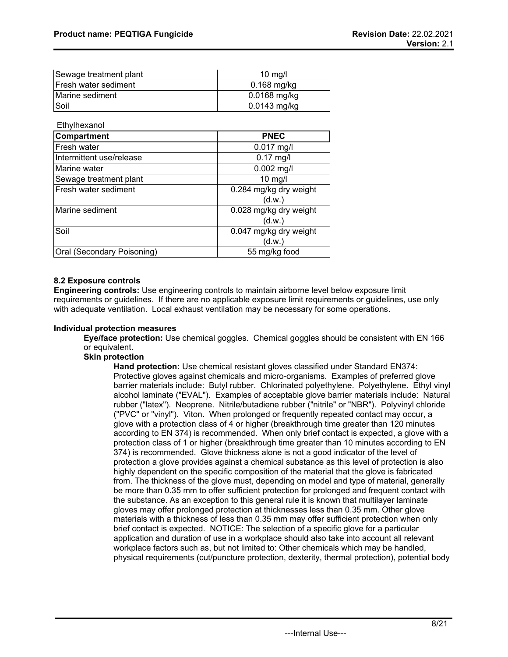| Sewage treatment plant       | $10 \text{ mq/l}$ |
|------------------------------|-------------------|
| <b>IFresh water sediment</b> | $0.168$ mg/kg     |
| Marine sediment              | $0.0168$ mg/kg    |
| Soil                         | $0.0143$ mg/kg    |

**Ethylhexanol** 

| Compartment                | <b>PNEC</b>                      |
|----------------------------|----------------------------------|
| Fresh water                | $0.017$ mg/l                     |
| Intermittent use/release   | $0.17$ mg/l                      |
| Marine water               | $0.002$ mg/l                     |
| Sewage treatment plant     | $10$ mg/l                        |
| Fresh water sediment       | 0.284 mg/kg dry weight<br>(d.w.) |
| Marine sediment            | 0.028 mg/kg dry weight<br>(d.w.) |
| Soil                       | 0.047 mg/kg dry weight<br>(d.w.) |
| Oral (Secondary Poisoning) | 55 mg/kg food                    |

# **8.2 Exposure controls**

**Engineering controls:** Use engineering controls to maintain airborne level below exposure limit requirements or guidelines. If there are no applicable exposure limit requirements or guidelines, use only with adequate ventilation. Local exhaust ventilation may be necessary for some operations.

# **Individual protection measures**

**Eye/face protection:** Use chemical goggles. Chemical goggles should be consistent with EN 166 or equivalent.

# **Skin protection**

**Hand protection:** Use chemical resistant gloves classified under Standard EN374: Protective gloves against chemicals and micro-organisms. Examples of preferred glove barrier materials include: Butyl rubber. Chlorinated polyethylene. Polyethylene. Ethyl vinyl alcohol laminate ("EVAL"). Examples of acceptable glove barrier materials include: Natural rubber ("latex"). Neoprene. Nitrile/butadiene rubber ("nitrile" or "NBR"). Polyvinyl chloride ("PVC" or "vinyl"). Viton. When prolonged or frequently repeated contact may occur, a glove with a protection class of 4 or higher (breakthrough time greater than 120 minutes according to EN 374) is recommended. When only brief contact is expected, a glove with a protection class of 1 or higher (breakthrough time greater than 10 minutes according to EN 374) is recommended. Glove thickness alone is not a good indicator of the level of protection a glove provides against a chemical substance as this level of protection is also highly dependent on the specific composition of the material that the glove is fabricated from. The thickness of the glove must, depending on model and type of material, generally be more than 0.35 mm to offer sufficient protection for prolonged and frequent contact with the substance. As an exception to this general rule it is known that multilayer laminate gloves may offer prolonged protection at thicknesses less than 0.35 mm. Other glove materials with a thickness of less than 0.35 mm may offer sufficient protection when only brief contact is expected. NOTICE: The selection of a specific glove for a particular application and duration of use in a workplace should also take into account all relevant workplace factors such as, but not limited to: Other chemicals which may be handled, physical requirements (cut/puncture protection, dexterity, thermal protection), potential body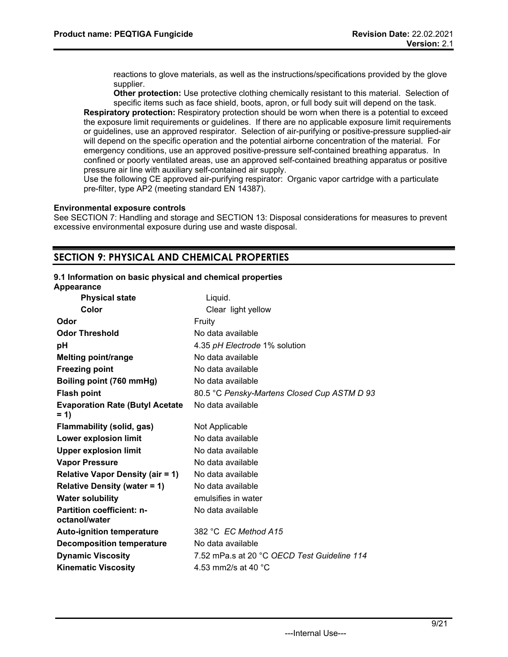reactions to glove materials, as well as the instructions/specifications provided by the glove supplier.

**Other protection:** Use protective clothing chemically resistant to this material. Selection of specific items such as face shield, boots, apron, or full body suit will depend on the task.

**Respiratory protection:** Respiratory protection should be worn when there is a potential to exceed the exposure limit requirements or guidelines. If there are no applicable exposure limit requirements or guidelines, use an approved respirator. Selection of air-purifying or positive-pressure supplied-air will depend on the specific operation and the potential airborne concentration of the material. For emergency conditions, use an approved positive-pressure self-contained breathing apparatus. In confined or poorly ventilated areas, use an approved self-contained breathing apparatus or positive pressure air line with auxiliary self-contained air supply.

Use the following CE approved air-purifying respirator: Organic vapor cartridge with a particulate pre-filter, type AP2 (meeting standard EN 14387).

#### **Environmental exposure controls**

See SECTION 7: Handling and storage and SECTION 13: Disposal considerations for measures to prevent excessive environmental exposure during use and waste disposal.

# **SECTION 9: PHYSICAL AND CHEMICAL PROPERTIES**

# **9.1 Information on basic physical and chemical properties**

| Appearance                                        |                                             |
|---------------------------------------------------|---------------------------------------------|
| <b>Physical state</b>                             | Liquid.                                     |
| Color                                             | Clear light yellow                          |
| Odor                                              | Fruity                                      |
| <b>Odor Threshold</b>                             | No data available                           |
| рH                                                | 4.35 pH Electrode 1% solution               |
| <b>Melting point/range</b>                        | No data available                           |
| <b>Freezing point</b>                             | No data available                           |
| Boiling point (760 mmHg)                          | No data available                           |
| <b>Flash point</b>                                | 80.5 °C Pensky-Martens Closed Cup ASTM D 93 |
| <b>Evaporation Rate (Butyl Acetate</b><br>$= 1$   | No data available                           |
| Flammability (solid, gas)                         | Not Applicable                              |
| Lower explosion limit                             | No data available                           |
| <b>Upper explosion limit</b>                      | No data available                           |
| <b>Vapor Pressure</b>                             | No data available                           |
| <b>Relative Vapor Density (air = 1)</b>           | No data available                           |
| <b>Relative Density (water = 1)</b>               | No data available                           |
| <b>Water solubility</b>                           | emulsifies in water                         |
| <b>Partition coefficient: n-</b><br>octanol/water | No data available                           |
| <b>Auto-ignition temperature</b>                  | 382 °C EC Method A15                        |
| <b>Decomposition temperature</b>                  | No data available                           |
| <b>Dynamic Viscosity</b>                          | 7.52 mPa.s at 20 °C OECD Test Guideline 114 |
| <b>Kinematic Viscosity</b>                        | 4.53 mm2/s at 40 $^{\circ}$ C               |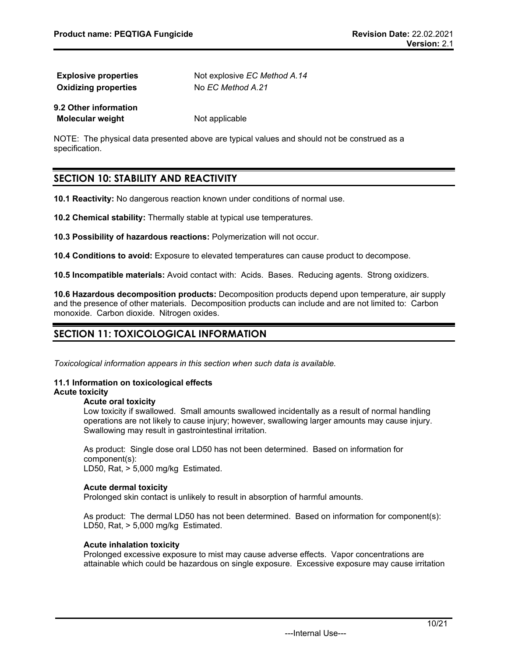| <b>Explosive properties</b> | Not explosive EC Method A.14 |
|-----------------------------|------------------------------|
| <b>Oxidizing properties</b> | No EC Method A.21            |
| 9.2 Other information       |                              |

NOTE: The physical data presented above are typical values and should not be construed as a specification.

# **SECTION 10: STABILITY AND REACTIVITY**

**Molecular weight** Not applicable

**10.1 Reactivity:** No dangerous reaction known under conditions of normal use.

**10.2 Chemical stability:** Thermally stable at typical use temperatures.

**10.3 Possibility of hazardous reactions:** Polymerization will not occur.

**10.4 Conditions to avoid:** Exposure to elevated temperatures can cause product to decompose.

**10.5 Incompatible materials:** Avoid contact with: Acids. Bases. Reducing agents. Strong oxidizers.

**10.6 Hazardous decomposition products:** Decomposition products depend upon temperature, air supply and the presence of other materials. Decomposition products can include and are not limited to: Carbon monoxide. Carbon dioxide. Nitrogen oxides.

# **SECTION 11: TOXICOLOGICAL INFORMATION**

*Toxicological information appears in this section when such data is available.*

#### **11.1 Information on toxicological effects Acute toxicity**

# **Acute oral toxicity**

Low toxicity if swallowed. Small amounts swallowed incidentally as a result of normal handling operations are not likely to cause injury; however, swallowing larger amounts may cause injury. Swallowing may result in gastrointestinal irritation.

As product: Single dose oral LD50 has not been determined. Based on information for component(s):

LD50, Rat, > 5,000 mg/kg Estimated.

#### **Acute dermal toxicity**

Prolonged skin contact is unlikely to result in absorption of harmful amounts.

As product: The dermal LD50 has not been determined. Based on information for component(s): LD50, Rat, > 5,000 mg/kg Estimated.

# **Acute inhalation toxicity**

Prolonged excessive exposure to mist may cause adverse effects. Vapor concentrations are attainable which could be hazardous on single exposure. Excessive exposure may cause irritation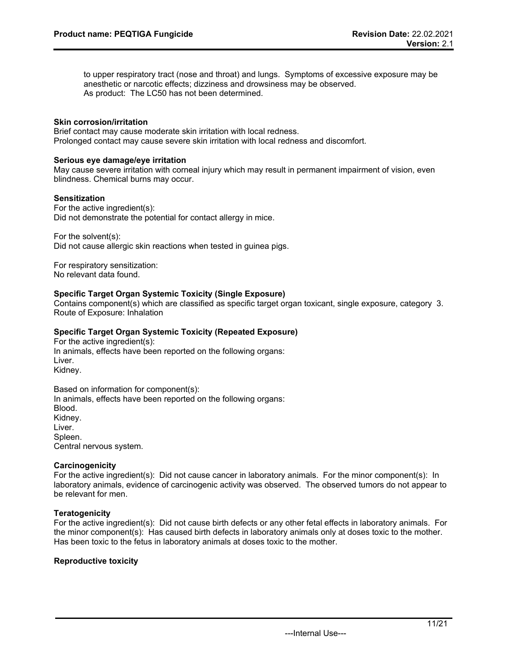to upper respiratory tract (nose and throat) and lungs. Symptoms of excessive exposure may be anesthetic or narcotic effects; dizziness and drowsiness may be observed. As product: The LC50 has not been determined.

#### **Skin corrosion/irritation**

Brief contact may cause moderate skin irritation with local redness. Prolonged contact may cause severe skin irritation with local redness and discomfort.

#### **Serious eye damage/eye irritation**

May cause severe irritation with corneal injury which may result in permanent impairment of vision, even blindness. Chemical burns may occur.

#### **Sensitization**

For the active ingredient(s): Did not demonstrate the potential for contact allergy in mice.

For the solvent(s):

Did not cause allergic skin reactions when tested in guinea pigs.

For respiratory sensitization: No relevant data found.

#### **Specific Target Organ Systemic Toxicity (Single Exposure)**

Contains component(s) which are classified as specific target organ toxicant, single exposure, category 3. Route of Exposure: Inhalation

# **Specific Target Organ Systemic Toxicity (Repeated Exposure)**

For the active ingredient(s): In animals, effects have been reported on the following organs: Liver. Kidney.

Based on information for component(s): In animals, effects have been reported on the following organs: Blood. Kidney. Liver. Spleen. Central nervous system.

#### **Carcinogenicity**

For the active ingredient(s): Did not cause cancer in laboratory animals. For the minor component(s): In laboratory animals, evidence of carcinogenic activity was observed. The observed tumors do not appear to be relevant for men.

# **Teratogenicity**

For the active ingredient(s): Did not cause birth defects or any other fetal effects in laboratory animals. For the minor component(s): Has caused birth defects in laboratory animals only at doses toxic to the mother. Has been toxic to the fetus in laboratory animals at doses toxic to the mother.

#### **Reproductive toxicity**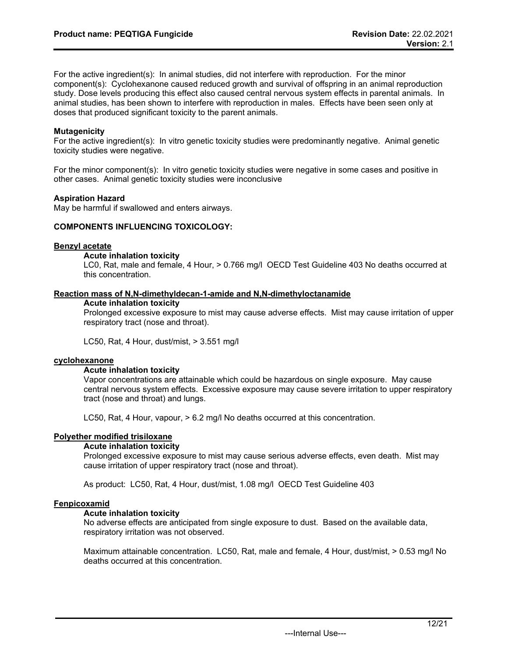For the active ingredient(s): In animal studies, did not interfere with reproduction. For the minor component(s): Cyclohexanone caused reduced growth and survival of offspring in an animal reproduction study. Dose levels producing this effect also caused central nervous system effects in parental animals. In animal studies, has been shown to interfere with reproduction in males. Effects have been seen only at doses that produced significant toxicity to the parent animals.

# **Mutagenicity**

For the active ingredient(s): In vitro genetic toxicity studies were predominantly negative. Animal genetic toxicity studies were negative.

For the minor component(s): In vitro genetic toxicity studies were negative in some cases and positive in other cases. Animal genetic toxicity studies were inconclusive

# **Aspiration Hazard**

May be harmful if swallowed and enters airways.

# **COMPONENTS INFLUENCING TOXICOLOGY:**

# **Benzyl acetate**

# **Acute inhalation toxicity**

LC0, Rat, male and female, 4 Hour, > 0.766 mg/l OECD Test Guideline 403 No deaths occurred at this concentration.

#### **Reaction mass of N,N-dimethyldecan-1-amide and N,N-dimethyloctanamide**

#### **Acute inhalation toxicity**

Prolonged excessive exposure to mist may cause adverse effects. Mist may cause irritation of upper respiratory tract (nose and throat).

LC50, Rat, 4 Hour, dust/mist, > 3.551 mg/l

# **cyclohexanone**

# **Acute inhalation toxicity**

Vapor concentrations are attainable which could be hazardous on single exposure. May cause central nervous system effects. Excessive exposure may cause severe irritation to upper respiratory tract (nose and throat) and lungs.

LC50, Rat, 4 Hour, vapour, > 6.2 mg/l No deaths occurred at this concentration.

# **Polyether modified trisiloxane**

# **Acute inhalation toxicity**

Prolonged excessive exposure to mist may cause serious adverse effects, even death. Mist may cause irritation of upper respiratory tract (nose and throat).

As product: LC50, Rat, 4 Hour, dust/mist, 1.08 mg/l OECD Test Guideline 403

# **Fenpicoxamid**

# **Acute inhalation toxicity**

No adverse effects are anticipated from single exposure to dust. Based on the available data, respiratory irritation was not observed.

Maximum attainable concentration. LC50, Rat, male and female, 4 Hour, dust/mist, > 0.53 mg/l No deaths occurred at this concentration.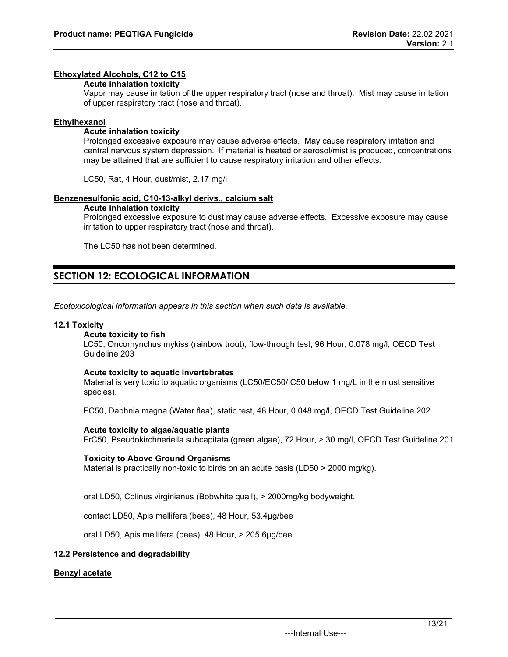# **Ethoxylated Alcohols, C12 to C15**

### **Acute inhalation toxicity**

Vapor may cause irritation of the upper respiratory tract (nose and throat). Mist may cause irritation of upper respiratory tract (nose and throat).

# **Ethylhexanol**

# **Acute inhalation toxicity**

Prolonged excessive exposure may cause adverse effects. May cause respiratory irritation and central nervous system depression. If material is heated or aerosol/mist is produced, concentrations may be attained that are sufficient to cause respiratory irritation and other effects.

LC50, Rat, 4 Hour, dust/mist, 2.17 mg/l

#### **Benzenesulfonic acid, C10-13-alkyl derivs., calcium salt**

#### **Acute inhalation toxicity**

Prolonged excessive exposure to dust may cause adverse effects. Excessive exposure may cause irritation to upper respiratory tract (nose and throat).

The LC50 has not been determined.

# **SECTION 12: ECOLOGICAL INFORMATION**

*Ecotoxicological information appears in this section when such data is available.*

#### **12.1 Toxicity**

# **Acute toxicity to fish**

LC50, Oncorhynchus mykiss (rainbow trout), flow-through test, 96 Hour, 0.078 mg/l, OECD Test Guideline 203

#### **Acute toxicity to aquatic invertebrates**

Material is very toxic to aquatic organisms (LC50/EC50/IC50 below 1 mg/L in the most sensitive species).

EC50, Daphnia magna (Water flea), static test, 48 Hour, 0.048 mg/l, OECD Test Guideline 202

#### **Acute toxicity to algae/aquatic plants**

ErC50, Pseudokirchneriella subcapitata (green algae), 72 Hour, > 30 mg/l, OECD Test Guideline 201

#### **Toxicity to Above Ground Organisms**

Material is practically non-toxic to birds on an acute basis (LD50 > 2000 mg/kg).

oral LD50, Colinus virginianus (Bobwhite quail), > 2000mg/kg bodyweight.

contact LD50, Apis mellifera (bees), 48 Hour, 53.4µg/bee

oral LD50, Apis mellifera (bees), 48 Hour, > 205.6µg/bee

# **12.2 Persistence and degradability**

# **Benzyl acetate**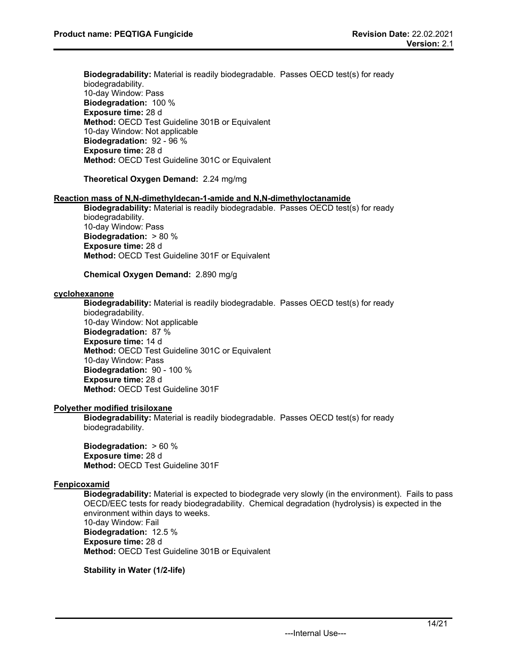**Biodegradability:** Material is readily biodegradable. Passes OECD test(s) for ready biodegradability. 10-day Window: Pass **Biodegradation:** 100 % **Exposure time:** 28 d **Method:** OECD Test Guideline 301B or Equivalent 10-day Window: Not applicable **Biodegradation:** 92 - 96 % **Exposure time:** 28 d **Method:** OECD Test Guideline 301C or Equivalent

# **Theoretical Oxygen Demand:** 2.24 mg/mg

#### **Reaction mass of N,N-dimethyldecan-1-amide and N,N-dimethyloctanamide**

**Biodegradability:** Material is readily biodegradable. Passes OECD test(s) for ready biodegradability. 10-day Window: Pass **Biodegradation:** > 80 % **Exposure time:** 28 d **Method:** OECD Test Guideline 301F or Equivalent

# **Chemical Oxygen Demand:** 2.890 mg/g

### **cyclohexanone**

**Biodegradability:** Material is readily biodegradable. Passes OECD test(s) for ready biodegradability.

10-day Window: Not applicable **Biodegradation:** 87 % **Exposure time:** 14 d **Method:** OECD Test Guideline 301C or Equivalent 10-day Window: Pass **Biodegradation:** 90 - 100 % **Exposure time:** 28 d **Method:** OECD Test Guideline 301F

#### **Polyether modified trisiloxane**

**Biodegradability:** Material is readily biodegradable. Passes OECD test(s) for ready biodegradability.

**Biodegradation:** > 60 % **Exposure time:** 28 d **Method:** OECD Test Guideline 301F

# **Fenpicoxamid**

**Biodegradability:** Material is expected to biodegrade very slowly (in the environment). Fails to pass OECD/EEC tests for ready biodegradability. Chemical degradation (hydrolysis) is expected in the environment within days to weeks.

10-day Window: Fail **Biodegradation:** 12.5 % **Exposure time:** 28 d **Method:** OECD Test Guideline 301B or Equivalent

**Stability in Water (1/2-life)**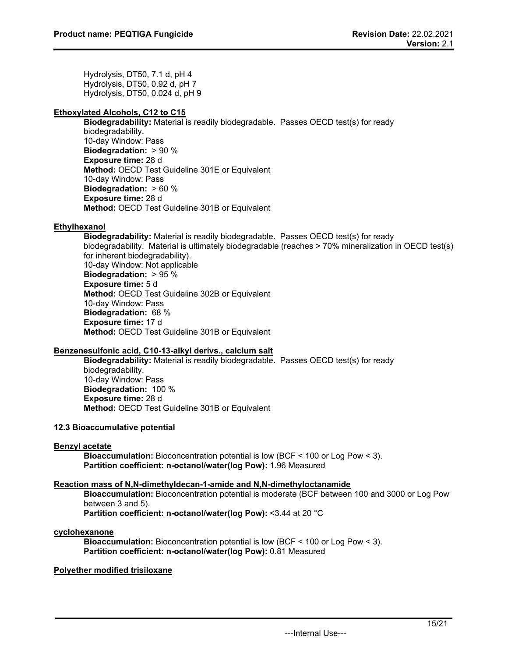Hydrolysis, DT50, 7.1 d, pH 4 Hydrolysis, DT50, 0.92 d, pH 7 Hydrolysis, DT50, 0.024 d, pH 9

# **Ethoxylated Alcohols, C12 to C15**

**Biodegradability:** Material is readily biodegradable. Passes OECD test(s) for ready biodegradability. 10-day Window: Pass **Biodegradation:** > 90 % **Exposure time:** 28 d **Method:** OECD Test Guideline 301E or Equivalent 10-day Window: Pass **Biodegradation:** > 60 % **Exposure time:** 28 d **Method:** OECD Test Guideline 301B or Equivalent

# **Ethylhexanol**

**Biodegradability:** Material is readily biodegradable. Passes OECD test(s) for ready biodegradability. Material is ultimately biodegradable (reaches > 70% mineralization in OECD test(s) for inherent biodegradability). 10-day Window: Not applicable **Biodegradation:** > 95 % **Exposure time:** 5 d **Method:** OECD Test Guideline 302B or Equivalent 10-day Window: Pass **Biodegradation:** 68 % **Exposure time:** 17 d **Method:** OECD Test Guideline 301B or Equivalent

# **Benzenesulfonic acid, C10-13-alkyl derivs., calcium salt**

**Biodegradability:** Material is readily biodegradable. Passes OECD test(s) for ready biodegradability. 10-day Window: Pass **Biodegradation:** 100 % **Exposure time:** 28 d **Method:** OECD Test Guideline 301B or Equivalent

# **12.3 Bioaccumulative potential**

# **Benzyl acetate**

**Bioaccumulation:** Bioconcentration potential is low (BCF < 100 or Log Pow < 3). **Partition coefficient: n-octanol/water(log Pow):** 1.96 Measured

# **Reaction mass of N,N-dimethyldecan-1-amide and N,N-dimethyloctanamide**

**Bioaccumulation:** Bioconcentration potential is moderate (BCF between 100 and 3000 or Log Pow between 3 and 5).

**Partition coefficient: n-octanol/water(log Pow):** <3.44 at 20 °C

# **cyclohexanone**

**Bioaccumulation:** Bioconcentration potential is low (BCF < 100 or Log Pow < 3). **Partition coefficient: n-octanol/water(log Pow):** 0.81 Measured

# **Polyether modified trisiloxane**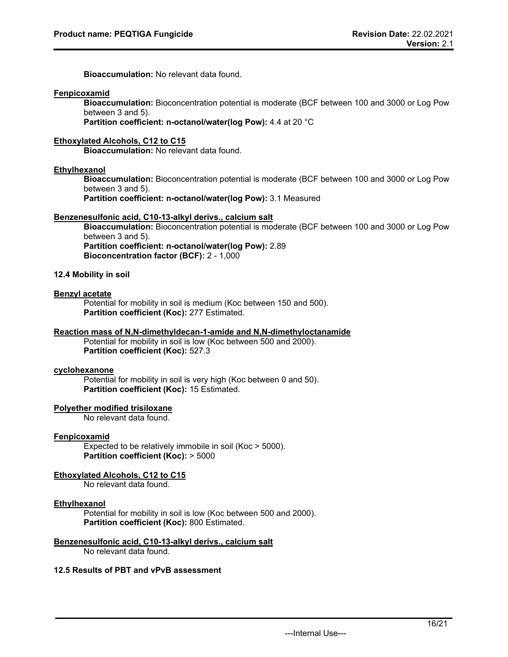**Bioaccumulation:** No relevant data found.

#### **Fenpicoxamid**

**Bioaccumulation:** Bioconcentration potential is moderate (BCF between 100 and 3000 or Log Pow between 3 and 5).

**Partition coefficient: n-octanol/water(log Pow):** 4.4 at 20 °C

# **Ethoxylated Alcohols, C12 to C15**

**Bioaccumulation:** No relevant data found.

#### **Ethylhexanol**

**Bioaccumulation:** Bioconcentration potential is moderate (BCF between 100 and 3000 or Log Pow between 3 and 5).

**Partition coefficient: n-octanol/water(log Pow):** 3.1 Measured

#### **Benzenesulfonic acid, C10-13-alkyl derivs., calcium salt**

**Bioaccumulation:** Bioconcentration potential is moderate (BCF between 100 and 3000 or Log Pow between 3 and 5). **Partition coefficient: n-octanol/water(log Pow):** 2.89 **Bioconcentration factor (BCF):** 2 - 1,000

# **12.4 Mobility in soil**

#### **Benzyl acetate**

Potential for mobility in soil is medium (Koc between 150 and 500). **Partition coefficient (Koc):** 277 Estimated.

#### **Reaction mass of N,N-dimethyldecan-1-amide and N,N-dimethyloctanamide**

Potential for mobility in soil is low (Koc between 500 and 2000). **Partition coefficient (Koc):** 527.3

# **cyclohexanone**

Potential for mobility in soil is very high (Koc between 0 and 50). **Partition coefficient (Koc):** 15 Estimated.

# **Polyether modified trisiloxane**

No relevant data found.

#### **Fenpicoxamid**

Expected to be relatively immobile in soil (Koc > 5000). **Partition coefficient (Koc):** > 5000

# **Ethoxylated Alcohols, C12 to C15**

No relevant data found.

#### **Ethylhexanol**

Potential for mobility in soil is low (Koc between 500 and 2000). **Partition coefficient (Koc):** 800 Estimated.

# **Benzenesulfonic acid, C10-13-alkyl derivs., calcium salt**

No relevant data found.

# **12.5 Results of PBT and vPvB assessment**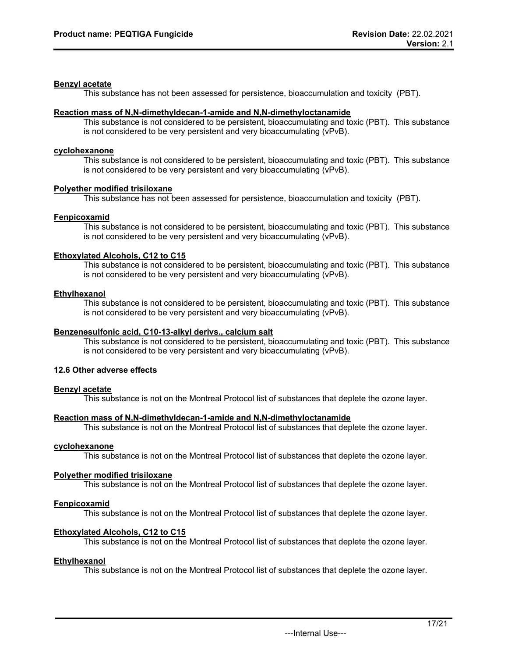# **Benzyl acetate**

This substance has not been assessed for persistence, bioaccumulation and toxicity (PBT).

# **Reaction mass of N,N-dimethyldecan-1-amide and N,N-dimethyloctanamide**

This substance is not considered to be persistent, bioaccumulating and toxic (PBT). This substance is not considered to be very persistent and very bioaccumulating (vPvB).

# **cyclohexanone**

This substance is not considered to be persistent, bioaccumulating and toxic (PBT). This substance is not considered to be very persistent and very bioaccumulating (vPvB).

# **Polyether modified trisiloxane**

This substance has not been assessed for persistence, bioaccumulation and toxicity (PBT).

# **Fenpicoxamid**

This substance is not considered to be persistent, bioaccumulating and toxic (PBT). This substance is not considered to be very persistent and very bioaccumulating (vPvB).

# **Ethoxylated Alcohols, C12 to C15**

This substance is not considered to be persistent, bioaccumulating and toxic (PBT). This substance is not considered to be very persistent and very bioaccumulating (vPvB).

# **Ethylhexanol**

This substance is not considered to be persistent, bioaccumulating and toxic (PBT). This substance is not considered to be very persistent and very bioaccumulating (vPvB).

# **Benzenesulfonic acid, C10-13-alkyl derivs., calcium salt**

This substance is not considered to be persistent, bioaccumulating and toxic (PBT). This substance is not considered to be very persistent and very bioaccumulating (vPvB).

# **12.6 Other adverse effects**

# **Benzyl acetate**

This substance is not on the Montreal Protocol list of substances that deplete the ozone layer.

# **Reaction mass of N,N-dimethyldecan-1-amide and N,N-dimethyloctanamide**

This substance is not on the Montreal Protocol list of substances that deplete the ozone layer.

# **cyclohexanone**

This substance is not on the Montreal Protocol list of substances that deplete the ozone layer.

# **Polyether modified trisiloxane**

This substance is not on the Montreal Protocol list of substances that deplete the ozone layer.

# **Fenpicoxamid**

This substance is not on the Montreal Protocol list of substances that deplete the ozone layer.

# **Ethoxylated Alcohols, C12 to C15**

This substance is not on the Montreal Protocol list of substances that deplete the ozone layer.

# **Ethylhexanol**

This substance is not on the Montreal Protocol list of substances that deplete the ozone layer.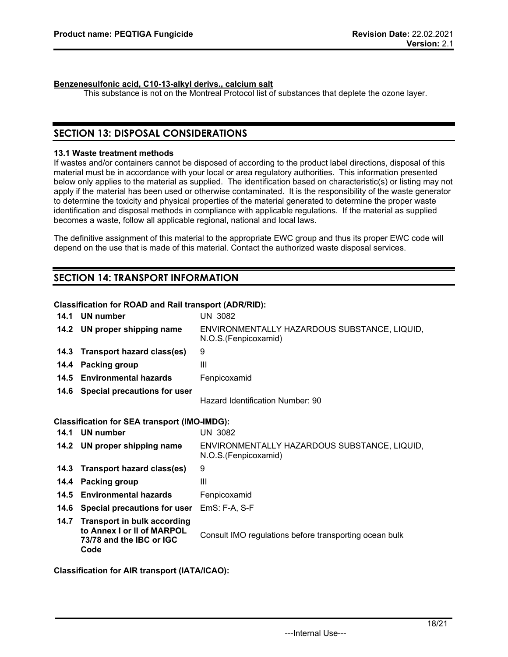# **Benzenesulfonic acid, C10-13-alkyl derivs., calcium salt**

This substance is not on the Montreal Protocol list of substances that deplete the ozone layer.

# **SECTION 13: DISPOSAL CONSIDERATIONS**

# **13.1 Waste treatment methods**

If wastes and/or containers cannot be disposed of according to the product label directions, disposal of this material must be in accordance with your local or area regulatory authorities. This information presented below only applies to the material as supplied. The identification based on characteristic(s) or listing may not apply if the material has been used or otherwise contaminated. It is the responsibility of the waste generator to determine the toxicity and physical properties of the material generated to determine the proper waste identification and disposal methods in compliance with applicable regulations. If the material as supplied becomes a waste, follow all applicable regional, national and local laws.

The definitive assignment of this material to the appropriate EWC group and thus its proper EWC code will depend on the use that is made of this material. Contact the authorized waste disposal services.

# **SECTION 14: TRANSPORT INFORMATION**

# **Classification for ROAD and Rail transport (ADR/RID):**

| 14.1 | UN number                                                                                            | <b>UN 3082</b>                                                       |
|------|------------------------------------------------------------------------------------------------------|----------------------------------------------------------------------|
|      | 14.2 UN proper shipping name                                                                         | ENVIRONMENTALLY HAZARDOUS SUBSTANCE, LIQUID,<br>N.O.S.(Fenpicoxamid) |
| 14.3 | Transport hazard class(es)                                                                           | 9                                                                    |
| 14.4 | Packing group                                                                                        | III                                                                  |
| 14.5 | <b>Environmental hazards</b>                                                                         | Fenpicoxamid                                                         |
| 14.6 | Special precautions for user                                                                         | Hazard Identification Number: 90                                     |
|      | <b>Classification for SEA transport (IMO-IMDG):</b>                                                  |                                                                      |
| 14.1 | UN number                                                                                            | <b>UN 3082</b>                                                       |
|      | 14.2 UN proper shipping name                                                                         | ENVIRONMENTALLY HAZARDOUS SUBSTANCE, LIQUID,<br>N.O.S.(Fenpicoxamid) |
| 14.3 | Transport hazard class(es)                                                                           | 9                                                                    |
| 14.4 | <b>Packing group</b>                                                                                 | Ш                                                                    |
| 14.5 | <b>Environmental hazards</b>                                                                         | Fenpicoxamid                                                         |
| 14.6 | Special precautions for user                                                                         | EmS: F-A, S-F                                                        |
| 14.7 | <b>Transport in bulk according</b><br>to Annex I or II of MARPOL<br>73/78 and the IBC or IGC<br>Code | Consult IMO regulations before transporting ocean bulk               |

**Classification for AIR transport (IATA/ICAO):**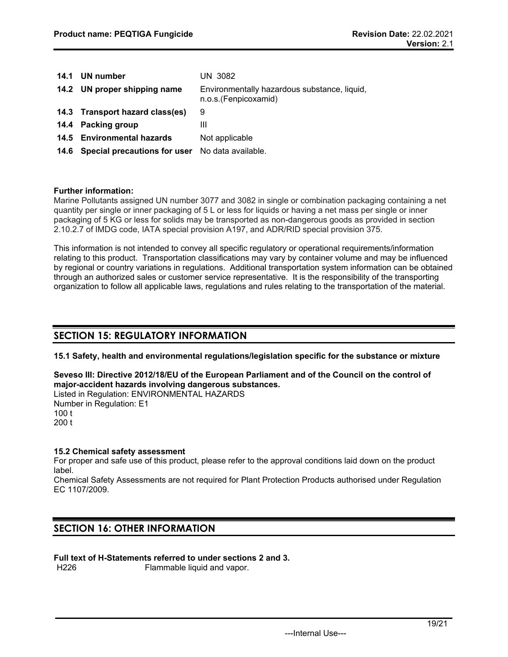| 14.1 | UN number                         | <b>UN 3082</b>                                                       |
|------|-----------------------------------|----------------------------------------------------------------------|
|      | 14.2 UN proper shipping name      | Environmentally hazardous substance, liquid,<br>n.o.s.(Fenpicoxamid) |
|      | 14.3 Transport hazard class(es)   | 9                                                                    |
|      | 14.4 Packing group                | Ш                                                                    |
|      | 14.5 Environmental hazards        | Not applicable                                                       |
|      | 14.6 Special precautions for user | No data available.                                                   |

# **Further information:**

Marine Pollutants assigned UN number 3077 and 3082 in single or combination packaging containing a net quantity per single or inner packaging of 5 L or less for liquids or having a net mass per single or inner packaging of 5 KG or less for solids may be transported as non-dangerous goods as provided in section 2.10.2.7 of IMDG code, IATA special provision A197, and ADR/RID special provision 375.

This information is not intended to convey all specific regulatory or operational requirements/information relating to this product. Transportation classifications may vary by container volume and may be influenced by regional or country variations in regulations. Additional transportation system information can be obtained through an authorized sales or customer service representative. It is the responsibility of the transporting organization to follow all applicable laws, regulations and rules relating to the transportation of the material.

# **SECTION 15: REGULATORY INFORMATION**

**15.1 Safety, health and environmental regulations/legislation specific for the substance or mixture**

**Seveso III: Directive 2012/18/EU of the European Parliament and of the Council on the control of major-accident hazards involving dangerous substances.** Listed in Regulation: ENVIRONMENTAL HAZARDS

Number in Regulation: E1 100 t 200 t

# **15.2 Chemical safety assessment**

For proper and safe use of this product, please refer to the approval conditions laid down on the product label.

Chemical Safety Assessments are not required for Plant Protection Products authorised under Regulation EC 1107/2009.

# **SECTION 16: OTHER INFORMATION**

**Full text of H-Statements referred to under sections 2 and 3.**

Flammable liquid and vapor.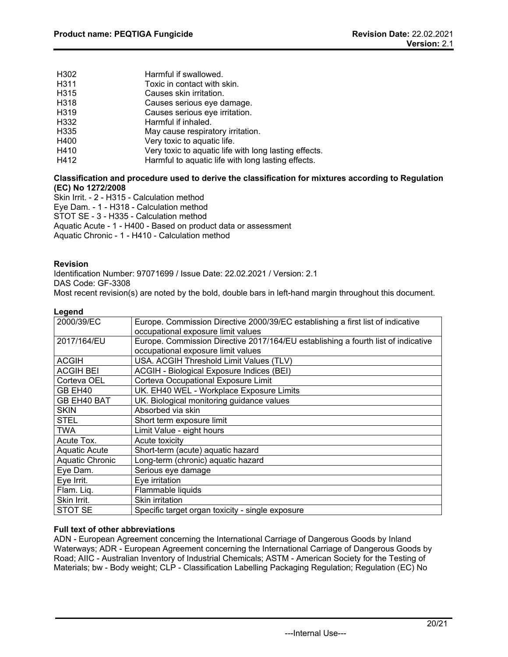| H302             | Harmful if swallowed.                                 |
|------------------|-------------------------------------------------------|
| H311             | Toxic in contact with skin.                           |
| H315             | Causes skin irritation.                               |
| H318             | Causes serious eye damage.                            |
| H319             | Causes serious eye irritation.                        |
| H332             | Harmful if inhaled.                                   |
| H <sub>335</sub> | May cause respiratory irritation.                     |
| H400             | Very toxic to aquatic life.                           |
| H410             | Very toxic to aquatic life with long lasting effects. |
| H412             | Harmful to aquatic life with long lasting effects.    |

# **Classification and procedure used to derive the classification for mixtures according to Regulation (EC) No 1272/2008**

Skin Irrit. - 2 - H315 - Calculation method

Eye Dam. - 1 - H318 - Calculation method

STOT SE - 3 - H335 - Calculation method

Aquatic Acute - 1 - H400 - Based on product data or assessment

Aquatic Chronic - 1 - H410 - Calculation method

# **Revision**

Identification Number: 97071699 / Issue Date: 22.02.2021 / Version: 2.1 DAS Code: GF-3308

Most recent revision(s) are noted by the bold, double bars in left-hand margin throughout this document.

# **Legend**

| 2000/39/EC       | Europe. Commission Directive 2000/39/EC establishing a first list of indicative   |
|------------------|-----------------------------------------------------------------------------------|
|                  | occupational exposure limit values                                                |
|                  |                                                                                   |
| 2017/164/EU      | Europe. Commission Directive 2017/164/EU establishing a fourth list of indicative |
|                  | occupational exposure limit values                                                |
| <b>ACGIH</b>     | USA. ACGIH Threshold Limit Values (TLV)                                           |
| <b>ACGIH BEI</b> | ACGIH - Biological Exposure Indices (BEI)                                         |
| Corteva OEL      | Corteva Occupational Exposure Limit                                               |
| GB EH40          | UK. EH40 WEL - Workplace Exposure Limits                                          |
| GB EH40 BAT      | UK. Biological monitoring guidance values                                         |
| <b>SKIN</b>      | Absorbed via skin                                                                 |
| <b>STEL</b>      | Short term exposure limit                                                         |
| <b>TWA</b>       | Limit Value - eight hours                                                         |
| Acute Tox.       | Acute toxicity                                                                    |
| Aquatic Acute    | Short-term (acute) aquatic hazard                                                 |
| Aquatic Chronic  | Long-term (chronic) aquatic hazard                                                |
| Eye Dam.         | Serious eye damage                                                                |
| Eye Irrit.       | Eye irritation                                                                    |
| Flam. Liq.       | Flammable liquids                                                                 |
| Skin Irrit.      | Skin irritation                                                                   |
| STOT SE          | Specific target organ toxicity - single exposure                                  |

# **Full text of other abbreviations**

ADN - European Agreement concerning the International Carriage of Dangerous Goods by Inland Waterways; ADR - European Agreement concerning the International Carriage of Dangerous Goods by Road; AIIC - Australian Inventory of Industrial Chemicals; ASTM - American Society for the Testing of Materials; bw - Body weight; CLP - Classification Labelling Packaging Regulation; Regulation (EC) No